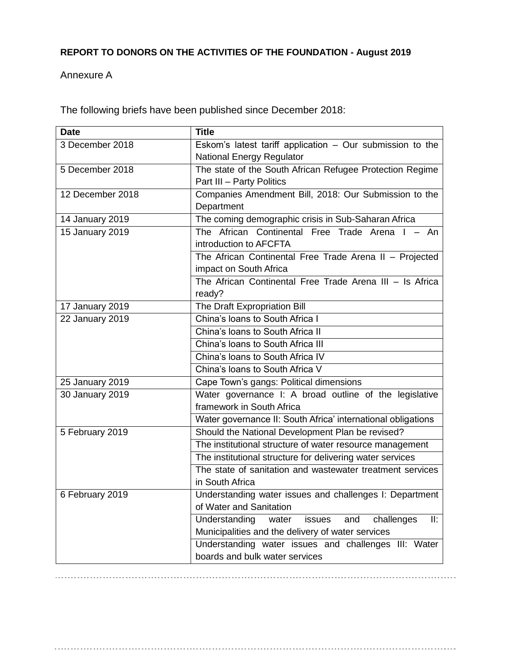## **REPORT TO DONORS ON THE ACTIVITIES OF THE FOUNDATION - August 2019**

## Annexure A

The following briefs have been published since December 2018:

| <b>Date</b>      | <b>Title</b>                                                 |
|------------------|--------------------------------------------------------------|
| 3 December 2018  | Eskom's latest tariff application $-$ Our submission to the  |
|                  | <b>National Energy Regulator</b>                             |
| 5 December 2018  | The state of the South African Refugee Protection Regime     |
|                  | Part III - Party Politics                                    |
| 12 December 2018 | Companies Amendment Bill, 2018: Our Submission to the        |
|                  | Department                                                   |
| 14 January 2019  | The coming demographic crisis in Sub-Saharan Africa          |
| 15 January 2019  | The African Continental Free Trade Arena I - An              |
|                  | introduction to AFCFTA                                       |
|                  | The African Continental Free Trade Arena II - Projected      |
|                  | impact on South Africa                                       |
|                  | The African Continental Free Trade Arena III - Is Africa     |
|                  | ready?                                                       |
| 17 January 2019  | The Draft Expropriation Bill                                 |
| 22 January 2019  | China's loans to South Africa I                              |
|                  | China's loans to South Africa II                             |
|                  | China's loans to South Africa III                            |
|                  | China's loans to South Africa IV                             |
|                  | China's loans to South Africa V                              |
| 25 January 2019  | Cape Town's gangs: Political dimensions                      |
| 30 January 2019  | Water governance I: A broad outline of the legislative       |
|                  | framework in South Africa                                    |
|                  | Water governance II: South Africa' international obligations |
| 5 February 2019  | Should the National Development Plan be revised?             |
|                  | The institutional structure of water resource management     |
|                  | The institutional structure for delivering water services    |
|                  | The state of sanitation and wastewater treatment services    |
|                  | in South Africa                                              |
| 6 February 2019  | Understanding water issues and challenges I: Department      |
|                  | of Water and Sanitation                                      |
|                  | II:<br>Understanding<br>issues<br>and<br>challenges<br>water |
|                  | Municipalities and the delivery of water services            |
|                  | Understanding water issues and challenges III: Water         |
|                  | boards and bulk water services                               |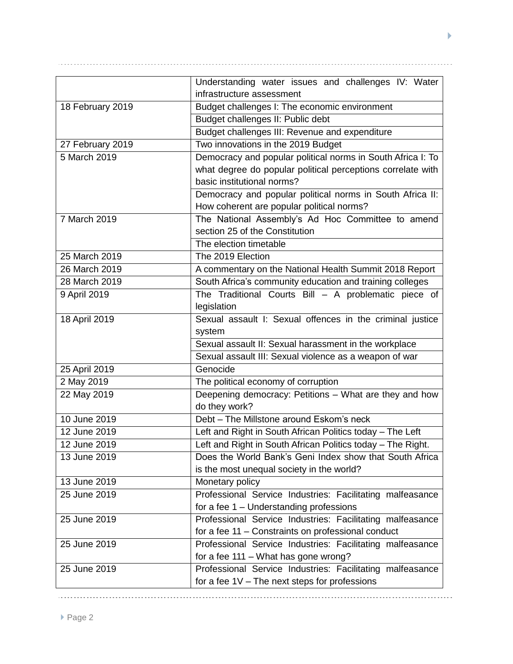|                  | Understanding water issues and challenges IV: Water<br>infrastructure assessment |
|------------------|----------------------------------------------------------------------------------|
|                  |                                                                                  |
| 18 February 2019 | Budget challenges I: The economic environment                                    |
|                  | Budget challenges II: Public debt                                                |
|                  | Budget challenges III: Revenue and expenditure                                   |
| 27 February 2019 | Two innovations in the 2019 Budget                                               |
| 5 March 2019     | Democracy and popular political norms in South Africa I: To                      |
|                  | what degree do popular political perceptions correlate with                      |
|                  | basic institutional norms?                                                       |
|                  | Democracy and popular political norms in South Africa II:                        |
|                  | How coherent are popular political norms?                                        |
| 7 March 2019     | The National Assembly's Ad Hoc Committee to amend                                |
|                  | section 25 of the Constitution                                                   |
|                  | The election timetable                                                           |
| 25 March 2019    | The 2019 Election                                                                |
| 26 March 2019    | A commentary on the National Health Summit 2018 Report                           |
| 28 March 2019    | South Africa's community education and training colleges                         |
| 9 April 2019     | The Traditional Courts Bill - A problematic piece of                             |
|                  | legislation                                                                      |
| 18 April 2019    | Sexual assault I: Sexual offences in the criminal justice                        |
|                  | system                                                                           |
|                  | Sexual assault II: Sexual harassment in the workplace                            |
|                  | Sexual assault III: Sexual violence as a weapon of war                           |
| 25 April 2019    | Genocide                                                                         |
| 2 May 2019       | The political economy of corruption                                              |
| 22 May 2019      | Deepening democracy: Petitions - What are they and how                           |
|                  | do they work?                                                                    |
| 10 June 2019     | Debt - The Millstone around Eskom's neck                                         |
| 12 June 2019     | Left and Right in South African Politics today - The Left                        |
| 12 June 2019     | Left and Right in South African Politics today - The Right.                      |
| 13 June 2019     | Does the World Bank's Geni Index show that South Africa                          |
|                  | is the most unequal society in the world?                                        |
| 13 June 2019     | Monetary policy                                                                  |
| 25 June 2019     | Professional Service Industries: Facilitating malfeasance                        |
|                  | for a fee 1 - Understanding professions                                          |
| 25 June 2019     | Professional Service Industries: Facilitating malfeasance                        |
|                  | for a fee 11 - Constraints on professional conduct                               |
| 25 June 2019     | Professional Service Industries: Facilitating malfeasance                        |
|                  | for a fee 111 - What has gone wrong?                                             |
| 25 June 2019     | Professional Service Industries: Facilitating malfeasance                        |
|                  | for a fee $1V$ – The next steps for professions                                  |